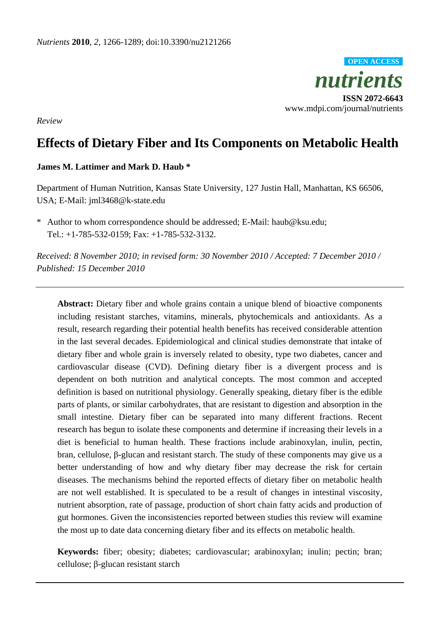*nutrients* **ISSN 2072-6643** www.mdpi.com/journal/nutrients **OPEN ACCESS**

*Review*

# **Effects of Dietary Fiber and Its Components on Metabolic Health**

# **James M. Lattimer and Mark D. Haub \***

Department of Human Nutrition, Kansas State University, 127 Justin Hall, Manhattan, KS 66506, USA; E-Mail: jml3468@k-state.edu

\* Author to whom correspondence should be addressed; E-Mail: haub@ksu.edu; Tel.: +1-785-532-0159; Fax: +1-785-532-3132.

*Received: 8 November 2010; in revised form: 30 November 2010 / Accepted: 7 December 2010 / Published: 15 December 2010* 

**Abstract:** Dietary fiber and whole grains contain a unique blend of bioactive components including resistant starches, vitamins, minerals, phytochemicals and antioxidants. As a result, research regarding their potential health benefits has received considerable attention in the last several decades. Epidemiological and clinical studies demonstrate that intake of dietary fiber and whole grain is inversely related to obesity, type two diabetes, cancer and cardiovascular disease (CVD). Defining dietary fiber is a divergent process and is dependent on both nutrition and analytical concepts. The most common and accepted definition is based on nutritional physiology. Generally speaking, dietary fiber is the edible parts of plants, or similar carbohydrates, that are resistant to digestion and absorption in the small intestine. Dietary fiber can be separated into many different fractions. Recent research has begun to isolate these components and determine if increasing their levels in a diet is beneficial to human health. These fractions include arabinoxylan, inulin, pectin, bran, cellulose, β-glucan and resistant starch. The study of these components may give us a better understanding of how and why dietary fiber may decrease the risk for certain diseases. The mechanisms behind the reported effects of dietary fiber on metabolic health are not well established. It is speculated to be a result of changes in intestinal viscosity, nutrient absorption, rate of passage, production of short chain fatty acids and production of gut hormones. Given the inconsistencies reported between studies this review will examine the most up to date data concerning dietary fiber and its effects on metabolic health.

**Keywords:** fiber; obesity; diabetes; cardiovascular; arabinoxylan; inulin; pectin; bran; cellulose; β-glucan resistant starch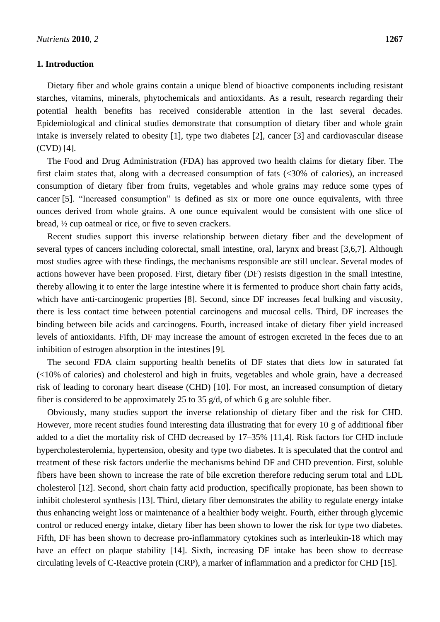#### **1. Introduction**

Dietary fiber and whole grains contain a unique blend of bioactive components including resistant starches, vitamins, minerals, phytochemicals and antioxidants. As a result, research regarding their potential health benefits has received considerable attention in the last several decades. Epidemiological and clinical studies demonstrate that consumption of dietary fiber and whole grain intake is inversely related to obesity [1], type two diabetes [2], cancer [3] and cardiovascular disease (CVD) [4].

The Food and Drug Administration (FDA) has approved two health claims for dietary fiber. The first claim states that, along with a decreased consumption of fats  $\langle$  <30% of calories), an increased consumption of dietary fiber from fruits, vegetables and whole grains may reduce some types of cancer [5]. "Increased consumption" is defined as six or more one ounce equivalents, with three ounces derived from whole grains. A one ounce equivalent would be consistent with one slice of bread, ½ cup oatmeal or rice, or five to seven crackers.

Recent studies support this inverse relationship between dietary fiber and the development of several types of cancers including colorectal, small intestine, oral, larynx and breast [3,6,7]. Although most studies agree with these findings, the mechanisms responsible are still unclear. Several modes of actions however have been proposed. First, dietary fiber (DF) resists digestion in the small intestine, thereby allowing it to enter the large intestine where it is fermented to produce short chain fatty acids, which have anti-carcinogenic properties [8]. Second, since DF increases fecal bulking and viscosity, there is less contact time between potential carcinogens and mucosal cells. Third, DF increases the binding between bile acids and carcinogens. Fourth, increased intake of dietary fiber yield increased levels of antioxidants. Fifth, DF may increase the amount of estrogen excreted in the feces due to an inhibition of estrogen absorption in the intestines [9].

The second FDA claim supporting health benefits of DF states that diets low in saturated fat (<10% of calories) and cholesterol and high in fruits, vegetables and whole grain, have a decreased risk of leading to coronary heart disease (CHD) [10]. For most, an increased consumption of dietary fiber is considered to be approximately 25 to 35 g/d, of which 6 g are soluble fiber.

Obviously, many studies support the inverse relationship of dietary fiber and the risk for CHD. However, more recent studies found interesting data illustrating that for every 10 g of additional fiber added to a diet the mortality risk of CHD decreased by 17–35% [11,4]. Risk factors for CHD include hypercholesterolemia, hypertension, obesity and type two diabetes. It is speculated that the control and treatment of these risk factors underlie the mechanisms behind DF and CHD prevention. First, soluble fibers have been shown to increase the rate of bile excretion therefore reducing serum total and LDL cholesterol [12]. Second, short chain fatty acid production, specifically propionate, has been shown to inhibit cholesterol synthesis [13]. Third, dietary fiber demonstrates the ability to regulate energy intake thus enhancing weight loss or maintenance of a healthier body weight. Fourth, either through glycemic control or reduced energy intake, dietary fiber has been shown to lower the risk for type two diabetes. Fifth, DF has been shown to decrease pro-inflammatory cytokines such as interleukin-18 which may have an effect on plaque stability [14]. Sixth, increasing DF intake has been show to decrease circulating levels of C-Reactive protein (CRP), a marker of inflammation and a predictor for CHD [15].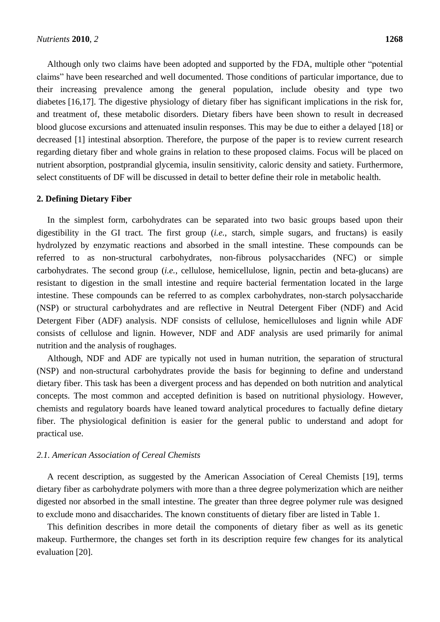Although only two claims have been adopted and supported by the FDA, multiple other "potential claims" have been researched and well documented. Those conditions of particular importance, due to their increasing prevalence among the general population, include obesity and type two diabetes [16,17]. The digestive physiology of dietary fiber has significant implications in the risk for, and treatment of, these metabolic disorders. Dietary fibers have been shown to result in decreased blood glucose excursions and attenuated insulin responses. This may be due to either a delayed [18] or decreased [1] intestinal absorption. Therefore, the purpose of the paper is to review current research regarding dietary fiber and whole grains in relation to these proposed claims. Focus will be placed on nutrient absorption, postprandial glycemia, insulin sensitivity, caloric density and satiety. Furthermore, select constituents of DF will be discussed in detail to better define their role in metabolic health.

#### **2. Defining Dietary Fiber**

In the simplest form, carbohydrates can be separated into two basic groups based upon their digestibility in the GI tract. The first group (*i.e.*, starch, simple sugars, and fructans) is easily hydrolyzed by enzymatic reactions and absorbed in the small intestine. These compounds can be referred to as non-structural carbohydrates, non-fibrous polysaccharides (NFC) or simple carbohydrates. The second group (*i.e.*, cellulose, hemicellulose, lignin, pectin and beta-glucans) are resistant to digestion in the small intestine and require bacterial fermentation located in the large intestine. These compounds can be referred to as complex carbohydrates, non-starch polysaccharide (NSP) or structural carbohydrates and are reflective in Neutral Detergent Fiber (NDF) and Acid Detergent Fiber (ADF) analysis. NDF consists of cellulose, hemicelluloses and lignin while ADF consists of cellulose and lignin. However, NDF and ADF analysis are used primarily for animal nutrition and the analysis of roughages.

Although, NDF and ADF are typically not used in human nutrition, the separation of structural (NSP) and non-structural carbohydrates provide the basis for beginning to define and understand dietary fiber. This task has been a divergent process and has depended on both nutrition and analytical concepts. The most common and accepted definition is based on nutritional physiology. However, chemists and regulatory boards have leaned toward analytical procedures to factually define dietary fiber. The physiological definition is easier for the general public to understand and adopt for practical use.

#### *2.1. American Association of Cereal Chemists*

A recent description, as suggested by the American Association of Cereal Chemists [19], terms dietary fiber as carbohydrate polymers with more than a three degree polymerization which are neither digested nor absorbed in the small intestine. The greater than three degree polymer rule was designed to exclude mono and disaccharides. The known constituents of dietary fiber are listed in Table 1.

This definition describes in more detail the components of dietary fiber as well as its genetic makeup. Furthermore, the changes set forth in its description require few changes for its analytical evaluation [20].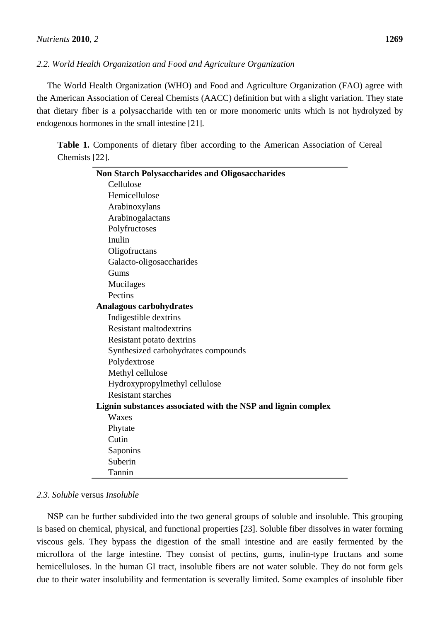# *2.2. World Health Organization and Food and Agriculture Organization*

The World Health Organization (WHO) and Food and Agriculture Organization (FAO) agree with the American Association of Cereal Chemists (AACC) definition but with a slight variation. They state that dietary fiber is a polysaccharide with ten or more monomeric units which is not hydrolyzed by endogenous hormones in the small intestine [21].

**Table 1.** Components of dietary fiber according to the American Association of Cereal Chemists [22].

| <b>Non Starch Polysaccharides and Oligosaccharides</b>       |
|--------------------------------------------------------------|
| Cellulose                                                    |
| Hemicellulose                                                |
| Arabinoxylans                                                |
| Arabinogalactans                                             |
| Polyfructoses                                                |
| Inulin                                                       |
| Oligofructans                                                |
| Galacto-oligosaccharides                                     |
| Gums                                                         |
| Mucilages                                                    |
| Pectins                                                      |
| Analagous carbohydrates                                      |
| Indigestible dextrins                                        |
| <b>Resistant maltodextrins</b>                               |
| Resistant potato dextrins                                    |
| Synthesized carbohydrates compounds                          |
| Polydextrose                                                 |
| Methyl cellulose                                             |
| Hydroxypropylmethyl cellulose                                |
| <b>Resistant starches</b>                                    |
| Lignin substances associated with the NSP and lignin complex |
| Waxes                                                        |
| Phytate                                                      |
| Cutin                                                        |
| Saponins                                                     |
| Suberin                                                      |
| Tannin                                                       |

## *2.3. Soluble* versus *Insoluble*

NSP can be further subdivided into the two general groups of soluble and insoluble. This grouping is based on chemical, physical, and functional properties [23]. Soluble fiber dissolves in water forming viscous gels. They bypass the digestion of the small intestine and are easily fermented by the microflora of the large intestine. They consist of pectins, gums, inulin-type fructans and some hemicelluloses. In the human GI tract, insoluble fibers are not water soluble. They do not form gels due to their water insolubility and fermentation is severally limited. Some examples of insoluble fiber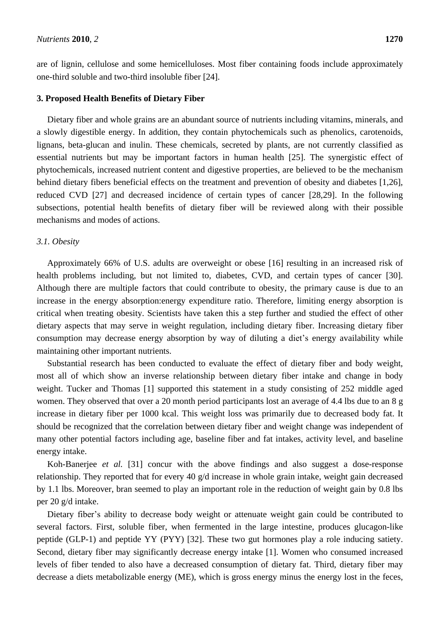are of lignin, cellulose and some hemicelluloses. Most fiber containing foods include approximately one-third soluble and two-third insoluble fiber [24].

#### **3. Proposed Health Benefits of Dietary Fiber**

Dietary fiber and whole grains are an abundant source of nutrients including vitamins, minerals, and a slowly digestible energy. In addition, they contain phytochemicals such as phenolics, carotenoids, lignans, beta-glucan and inulin. These chemicals, secreted by plants, are not currently classified as essential nutrients but may be important factors in human health [25]. The synergistic effect of phytochemicals, increased nutrient content and digestive properties, are believed to be the mechanism behind dietary fibers beneficial effects on the treatment and prevention of obesity and diabetes [1,26], reduced CVD [27] and decreased incidence of certain types of cancer [28,29]. In the following subsections, potential health benefits of dietary fiber will be reviewed along with their possible mechanisms and modes of actions.

#### *3.1. Obesity*

Approximately 66% of U.S. adults are overweight or obese [16] resulting in an increased risk of health problems including, but not limited to, diabetes, CVD, and certain types of cancer [30]. Although there are multiple factors that could contribute to obesity, the primary cause is due to an increase in the energy absorption:energy expenditure ratio. Therefore, limiting energy absorption is critical when treating obesity. Scientists have taken this a step further and studied the effect of other dietary aspects that may serve in weight regulation, including dietary fiber. Increasing dietary fiber consumption may decrease energy absorption by way of diluting a diet's energy availability while maintaining other important nutrients.

Substantial research has been conducted to evaluate the effect of dietary fiber and body weight, most all of which show an inverse relationship between dietary fiber intake and change in body weight. Tucker and Thomas [1] supported this statement in a study consisting of 252 middle aged women. They observed that over a 20 month period participants lost an average of 4.4 lbs due to an 8 g increase in dietary fiber per 1000 kcal. This weight loss was primarily due to decreased body fat. It should be recognized that the correlation between dietary fiber and weight change was independent of many other potential factors including age, baseline fiber and fat intakes, activity level, and baseline energy intake.

Koh-Banerjee *et al.* [31] concur with the above findings and also suggest a dose-response relationship. They reported that for every 40  $g/d$  increase in whole grain intake, weight gain decreased by 1.1 lbs. Moreover, bran seemed to play an important role in the reduction of weight gain by 0.8 lbs per 20 g/d intake.

Dietary fiber's ability to decrease body weight or attenuate weight gain could be contributed to several factors. First, soluble fiber, when fermented in the large intestine, produces glucagon-like peptide (GLP-1) and peptide YY (PYY) [32]. These two gut hormones play a role inducing satiety. Second, dietary fiber may significantly decrease energy intake [1]. Women who consumed increased levels of fiber tended to also have a decreased consumption of dietary fat. Third, dietary fiber may decrease a diets metabolizable energy (ME), which is gross energy minus the energy lost in the feces,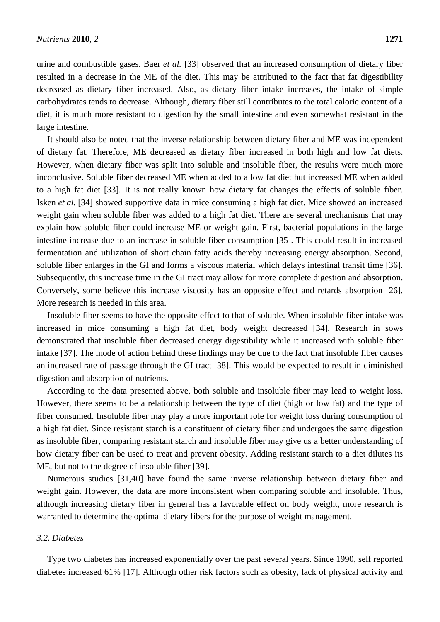urine and combustible gases. Baer *et al.* [33] observed that an increased consumption of dietary fiber resulted in a decrease in the ME of the diet. This may be attributed to the fact that fat digestibility decreased as dietary fiber increased. Also, as dietary fiber intake increases, the intake of simple carbohydrates tends to decrease. Although, dietary fiber still contributes to the total caloric content of a diet, it is much more resistant to digestion by the small intestine and even somewhat resistant in the large intestine.

It should also be noted that the inverse relationship between dietary fiber and ME was independent of dietary fat. Therefore, ME decreased as dietary fiber increased in both high and low fat diets. However, when dietary fiber was split into soluble and insoluble fiber, the results were much more inconclusive. Soluble fiber decreased ME when added to a low fat diet but increased ME when added to a high fat diet [33]. It is not really known how dietary fat changes the effects of soluble fiber. Isken *et al.* [34] showed supportive data in mice consuming a high fat diet. Mice showed an increased weight gain when soluble fiber was added to a high fat diet. There are several mechanisms that may explain how soluble fiber could increase ME or weight gain. First, bacterial populations in the large intestine increase due to an increase in soluble fiber consumption [35]. This could result in increased fermentation and utilization of short chain fatty acids thereby increasing energy absorption. Second, soluble fiber enlarges in the GI and forms a viscous material which delays intestinal transit time [36]. Subsequently, this increase time in the GI tract may allow for more complete digestion and absorption. Conversely, some believe this increase viscosity has an opposite effect and retards absorption [26]. More research is needed in this area.

Insoluble fiber seems to have the opposite effect to that of soluble. When insoluble fiber intake was increased in mice consuming a high fat diet, body weight decreased [34]. Research in sows demonstrated that insoluble fiber decreased energy digestibility while it increased with soluble fiber intake [37]. The mode of action behind these findings may be due to the fact that insoluble fiber causes an increased rate of passage through the GI tract [38]. This would be expected to result in diminished digestion and absorption of nutrients.

According to the data presented above, both soluble and insoluble fiber may lead to weight loss. However, there seems to be a relationship between the type of diet (high or low fat) and the type of fiber consumed. Insoluble fiber may play a more important role for weight loss during consumption of a high fat diet. Since resistant starch is a constituent of dietary fiber and undergoes the same digestion as insoluble fiber, comparing resistant starch and insoluble fiber may give us a better understanding of how dietary fiber can be used to treat and prevent obesity. Adding resistant starch to a diet dilutes its ME, but not to the degree of insoluble fiber [39].

Numerous studies [31,40] have found the same inverse relationship between dietary fiber and weight gain. However, the data are more inconsistent when comparing soluble and insoluble. Thus, although increasing dietary fiber in general has a favorable effect on body weight, more research is warranted to determine the optimal dietary fibers for the purpose of weight management.

## *3.2. Diabetes*

Type two diabetes has increased exponentially over the past several years. Since 1990, self reported diabetes increased 61% [17]. Although other risk factors such as obesity, lack of physical activity and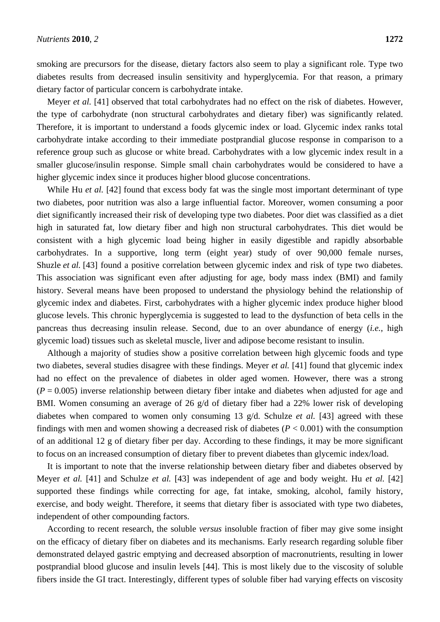smoking are precursors for the disease, dietary factors also seem to play a significant role. Type two diabetes results from decreased insulin sensitivity and hyperglycemia. For that reason, a primary dietary factor of particular concern is carbohydrate intake.

Meyer *et al.* [41] observed that total carbohydrates had no effect on the risk of diabetes. However, the type of carbohydrate (non structural carbohydrates and dietary fiber) was significantly related. Therefore, it is important to understand a foods glycemic index or load. Glycemic index ranks total carbohydrate intake according to their immediate postprandial glucose response in comparison to a reference group such as glucose or white bread. Carbohydrates with a low glycemic index result in a smaller glucose/insulin response. Simple small chain carbohydrates would be considered to have a higher glycemic index since it produces higher blood glucose concentrations.

While Hu *et al.* [42] found that excess body fat was the single most important determinant of type two diabetes, poor nutrition was also a large influential factor. Moreover, women consuming a poor diet significantly increased their risk of developing type two diabetes. Poor diet was classified as a diet high in saturated fat, low dietary fiber and high non structural carbohydrates. This diet would be consistent with a high glycemic load being higher in easily digestible and rapidly absorbable carbohydrates. In a supportive, long term (eight year) study of over 90,000 female nurses, Shuzle *et al.* [43] found a positive correlation between glycemic index and risk of type two diabetes. This association was significant even after adjusting for age, body mass index (BMI) and family history. Several means have been proposed to understand the physiology behind the relationship of glycemic index and diabetes. First, carbohydrates with a higher glycemic index produce higher blood glucose levels. This chronic hyperglycemia is suggested to lead to the dysfunction of beta cells in the pancreas thus decreasing insulin release. Second, due to an over abundance of energy (*i.e.*, high glycemic load) tissues such as skeletal muscle, liver and adipose become resistant to insulin.

Although a majority of studies show a positive correlation between high glycemic foods and type two diabetes, several studies disagree with these findings. Meyer *et al.* [41] found that glycemic index had no effect on the prevalence of diabetes in older aged women. However, there was a strong  $(P = 0.005)$  inverse relationship between dietary fiber intake and diabetes when adjusted for age and BMI. Women consuming an average of 26 g/d of dietary fiber had a 22% lower risk of developing diabetes when compared to women only consuming 13 g/d. Schulze *et al.* [43] agreed with these findings with men and women showing a decreased risk of diabetes  $(P < 0.001)$  with the consumption of an additional 12 g of dietary fiber per day. According to these findings, it may be more significant to focus on an increased consumption of dietary fiber to prevent diabetes than glycemic index/load.

It is important to note that the inverse relationship between dietary fiber and diabetes observed by Meyer *et al.* [41] and Schulze *et al.* [43] was independent of age and body weight. Hu *et al.* [42] supported these findings while correcting for age, fat intake, smoking, alcohol, family history, exercise, and body weight. Therefore, it seems that dietary fiber is associated with type two diabetes, independent of other compounding factors.

According to recent research, the soluble *versus* insoluble fraction of fiber may give some insight on the efficacy of dietary fiber on diabetes and its mechanisms. Early research regarding soluble fiber demonstrated delayed gastric emptying and decreased absorption of macronutrients, resulting in lower postprandial blood glucose and insulin levels [44]. This is most likely due to the viscosity of soluble fibers inside the GI tract. Interestingly, different types of soluble fiber had varying effects on viscosity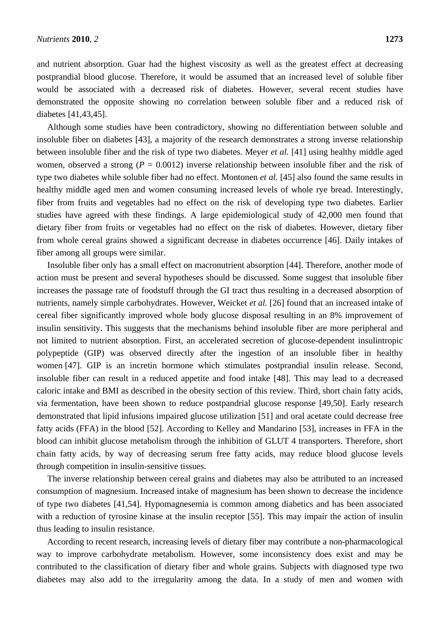and nutrient absorption. Guar had the highest viscosity as well as the greatest effect at decreasing postprandial blood glucose. Therefore, it would be assumed that an increased level of soluble fiber would be associated with a decreased risk of diabetes. However, several recent studies have demonstrated the opposite showing no correlation between soluble fiber and a reduced risk of diabetes [41,43,45].

Although some studies have been contradictory, showing no differentiation between soluble and insoluble fiber on diabetes [43], a majority of the research demonstrates a strong inverse relationship between insoluble fiber and the risk of type two diabetes. Meyer *et al.* [41] using healthy middle aged women, observed a strong  $(P = 0.0012)$  inverse relationship between insoluble fiber and the risk of type two diabetes while soluble fiber had no effect. Montonen *et al.* [45] also found the same results in healthy middle aged men and women consuming increased levels of whole rye bread. Interestingly, fiber from fruits and vegetables had no effect on the risk of developing type two diabetes. Earlier studies have agreed with these findings. A large epidemiological study of 42,000 men found that dietary fiber from fruits or vegetables had no effect on the risk of diabetes. However, dietary fiber from whole cereal grains showed a significant decrease in diabetes occurrence [46]. Daily intakes of fiber among all groups were similar.

Insoluble fiber only has a small effect on macronutrient absorption [44]. Therefore, another mode of action must be present and several hypotheses should be discussed. Some suggest that insoluble fiber increases the passage rate of foodstuff through the GI tract thus resulting in a decreased absorption of nutrients, namely simple carbohydrates. However, Weicket *et al.* [26] found that an increased intake of cereal fiber significantly improved whole body glucose disposal resulting in an 8% improvement of insulin sensitivity. This suggests that the mechanisms behind insoluble fiber are more peripheral and not limited to nutrient absorption. First, an accelerated secretion of glucose-dependent insulintropic polypeptide (GIP) was observed directly after the ingestion of an insoluble fiber in healthy women [47]. GIP is an incretin hormone which stimulates postprandial insulin release. Second, insoluble fiber can result in a reduced appetite and food intake [48]. This may lead to a decreased caloric intake and BMI as described in the obesity section of this review. Third, short chain fatty acids, via fermentation, have been shown to reduce postpandrial glucose response [49,50]. Early research demonstrated that lipid infusions impaired glucose utilization [51] and oral acetate could decrease free fatty acids (FFA) in the blood [52]. According to Kelley and Mandarino [53], increases in FFA in the blood can inhibit glucose metabolism through the inhibition of GLUT 4 transporters. Therefore, short chain fatty acids, by way of decreasing serum free fatty acids, may reduce blood glucose levels through competition in insulin-sensitive tissues.

The inverse relationship between cereal grains and diabetes may also be attributed to an increased consumption of magnesium. Increased intake of magnesium has been shown to decrease the incidence of type two diabetes [41,54]. Hypomagnesemia is common among diabetics and has been associated with a reduction of tyrosine kinase at the insulin receptor [55]. This may impair the action of insulin thus leading to insulin resistance.

According to recent research, increasing levels of dietary fiber may contribute a non-pharmacological way to improve carbohydrate metabolism. However, some inconsistency does exist and may be contributed to the classification of dietary fiber and whole grains. Subjects with diagnosed type two diabetes may also add to the irregularity among the data. In a study of men and women with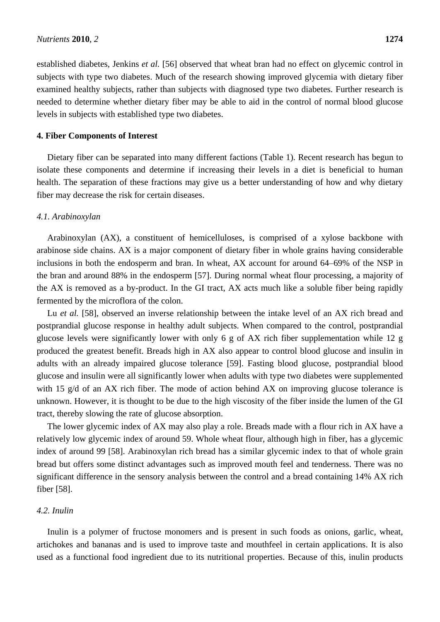established diabetes, Jenkins *et al.* [56] observed that wheat bran had no effect on glycemic control in subjects with type two diabetes. Much of the research showing improved glycemia with dietary fiber examined healthy subjects, rather than subjects with diagnosed type two diabetes. Further research is needed to determine whether dietary fiber may be able to aid in the control of normal blood glucose levels in subjects with established type two diabetes.

#### **4. Fiber Components of Interest**

Dietary fiber can be separated into many different factions (Table 1). Recent research has begun to isolate these components and determine if increasing their levels in a diet is beneficial to human health. The separation of these fractions may give us a better understanding of how and why dietary fiber may decrease the risk for certain diseases.

## *4.1. Arabinoxylan*

Arabinoxylan (AX), a constituent of hemicelluloses, is comprised of a xylose backbone with arabinose side chains. AX is a major component of dietary fiber in whole grains having considerable inclusions in both the endosperm and bran. In wheat, AX account for around 64–69% of the NSP in the bran and around 88% in the endosperm [57]. During normal wheat flour processing, a majority of the AX is removed as a by-product. In the GI tract, AX acts much like a soluble fiber being rapidly fermented by the microflora of the colon.

Lu *et al.* [58], observed an inverse relationship between the intake level of an AX rich bread and postprandial glucose response in healthy adult subjects. When compared to the control, postprandial glucose levels were significantly lower with only 6 g of AX rich fiber supplementation while 12 g produced the greatest benefit. Breads high in AX also appear to control blood glucose and insulin in adults with an already impaired glucose tolerance [59]. Fasting blood glucose, postprandial blood glucose and insulin were all significantly lower when adults with type two diabetes were supplemented with 15 g/d of an AX rich fiber. The mode of action behind AX on improving glucose tolerance is unknown. However, it is thought to be due to the high viscosity of the fiber inside the lumen of the GI tract, thereby slowing the rate of glucose absorption.

The lower glycemic index of AX may also play a role. Breads made with a flour rich in AX have a relatively low glycemic index of around 59. Whole wheat flour, although high in fiber, has a glycemic index of around 99 [58]. Arabinoxylan rich bread has a similar glycemic index to that of whole grain bread but offers some distinct advantages such as improved mouth feel and tenderness. There was no significant difference in the sensory analysis between the control and a bread containing 14% AX rich fiber [58].

#### *4.2. Inulin*

Inulin is a polymer of fructose monomers and is present in such foods as onions, garlic, wheat, artichokes and bananas and is used to improve taste and mouthfeel in certain applications. It is also used as a functional food ingredient due to its nutritional properties. Because of this, inulin products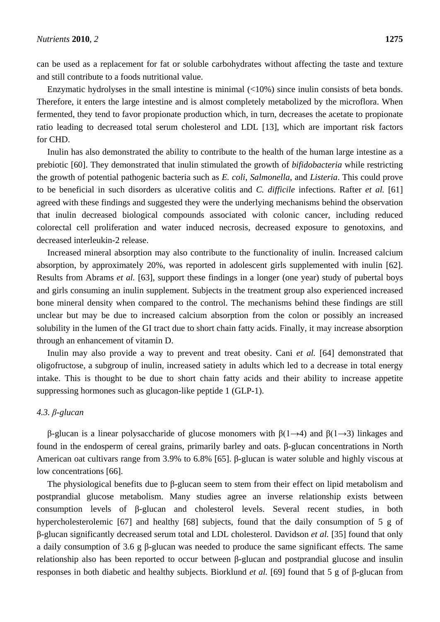can be used as a replacement for fat or soluble carbohydrates without affecting the taste and texture and still contribute to a foods nutritional value.

Enzymatic hydrolyses in the small intestine is minimal (<10%) since inulin consists of beta bonds. Therefore, it enters the large intestine and is almost completely metabolized by the microflora. When fermented, they tend to favor propionate production which, in turn, decreases the acetate to propionate ratio leading to decreased total serum cholesterol and LDL [13], which are important risk factors for CHD.

Inulin has also demonstrated the ability to contribute to the health of the human large intestine as a prebiotic [60]. They demonstrated that inulin stimulated the growth of *bifidobacteria* while restricting the growth of potential pathogenic bacteria such as *E. coli*, *Salmonella*, and *Listeria*. This could prove to be beneficial in such disorders as ulcerative colitis and *C. difficile* infections. Rafter *et al.* [61] agreed with these findings and suggested they were the underlying mechanisms behind the observation that inulin decreased biological compounds associated with colonic cancer, including reduced colorectal cell proliferation and water induced necrosis, decreased exposure to genotoxins, and decreased interleukin-2 release.

Increased mineral absorption may also contribute to the functionality of inulin. Increased calcium absorption, by approximately 20%, was reported in adolescent girls supplemented with inulin [62]. Results from Abrams *et al.* [63], support these findings in a longer (one year) study of pubertal boys and girls consuming an inulin supplement. Subjects in the treatment group also experienced increased bone mineral density when compared to the control. The mechanisms behind these findings are still unclear but may be due to increased calcium absorption from the colon or possibly an increased solubility in the lumen of the GI tract due to short chain fatty acids. Finally, it may increase absorption through an enhancement of vitamin D.

Inulin may also provide a way to prevent and treat obesity. Cani *et al.* [64] demonstrated that oligofructose, a subgroup of inulin, increased satiety in adults which led to a decrease in total energy intake. This is thought to be due to short chain fatty acids and their ability to increase appetite suppressing hormones such as glucagon-like peptide 1 (GLP-1).

## *4.3. β-glucan*

β-glucan is a linear polysaccharide of glucose monomers with β(1→4) and β(1→3) linkages and found in the endosperm of cereal grains, primarily barley and oats. β-glucan concentrations in North American oat cultivars range from 3.9% to 6.8% [65]. β-glucan is water soluble and highly viscous at low concentrations [66].

The physiological benefits due to β-glucan seem to stem from their effect on lipid metabolism and postprandial glucose metabolism. Many studies agree an inverse relationship exists between consumption levels of β-glucan and cholesterol levels. Several recent studies, in both hypercholesterolemic [67] and healthy [68] subjects, found that the daily consumption of 5 g of β-glucan significantly decreased serum total and LDL cholesterol. Davidson *et al.* [35] found that only a daily consumption of 3.6 g β-glucan was needed to produce the same significant effects. The same relationship also has been reported to occur between β-glucan and postprandial glucose and insulin responses in both diabetic and healthy subjects. Biorklund *et al.* [69] found that 5 g of β-glucan from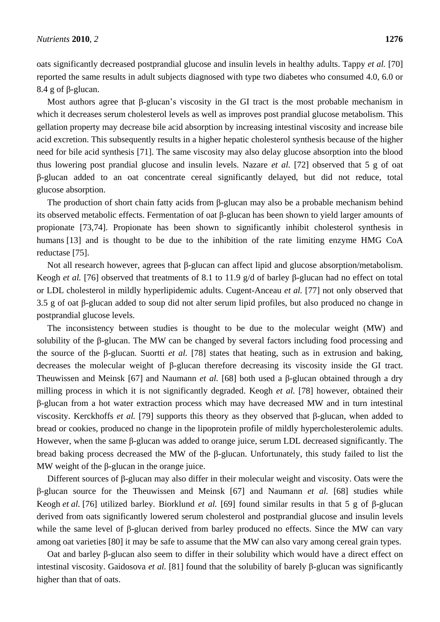oats significantly decreased postprandial glucose and insulin levels in healthy adults. Tappy *et al.* [70] reported the same results in adult subjects diagnosed with type two diabetes who consumed 4.0, 6.0 or 8.4 g of β-glucan.

Most authors agree that β-glucan's viscosity in the GI tract is the most probable mechanism in which it decreases serum cholesterol levels as well as improves post prandial glucose metabolism. This gellation property may decrease bile acid absorption by increasing intestinal viscosity and increase bile acid excretion. This subsequently results in a higher hepatic cholesterol synthesis because of the higher need for bile acid synthesis [71]. The same viscosity may also delay glucose absorption into the blood thus lowering post prandial glucose and insulin levels. Nazare *et al.* [72] observed that 5 g of oat β-glucan added to an oat concentrate cereal significantly delayed, but did not reduce, total glucose absorption.

The production of short chain fatty acids from β-glucan may also be a probable mechanism behind its observed metabolic effects. Fermentation of oat β-glucan has been shown to yield larger amounts of propionate [73,74]. Propionate has been shown to significantly inhibit cholesterol synthesis in humans [13] and is thought to be due to the inhibition of the rate limiting enzyme HMG CoA reductase [75].

Not all research however, agrees that β-glucan can affect lipid and glucose absorption/metabolism. Keogh *et al.* [76] observed that treatments of 8.1 to 11.9 g/d of barley β-glucan had no effect on total or LDL cholesterol in mildly hyperlipidemic adults. Cugent-Anceau *et al.* [77] not only observed that 3.5 g of oat β-glucan added to soup did not alter serum lipid profiles, but also produced no change in postprandial glucose levels.

The inconsistency between studies is thought to be due to the molecular weight (MW) and solubility of the β-glucan. The MW can be changed by several factors including food processing and the source of the β-glucan. Suortti *et al.* [78] states that heating, such as in extrusion and baking, decreases the molecular weight of β-glucan therefore decreasing its viscosity inside the GI tract. Theuwissen and Meinsk [67] and Naumann *et al.* [68] both used a β-glucan obtained through a dry milling process in which it is not significantly degraded. Keogh *et al.* [78] however, obtained their β-glucan from a hot water extraction process which may have decreased MW and in turn intestinal viscosity. Kerckhoffs *et al.* [79] supports this theory as they observed that β-glucan, when added to bread or cookies, produced no change in the lipoprotein profile of mildly hypercholesterolemic adults. However, when the same β-glucan was added to orange juice, serum LDL decreased significantly. The bread baking process decreased the MW of the β-glucan. Unfortunately, this study failed to list the MW weight of the β-glucan in the orange juice.

Different sources of β-glucan may also differ in their molecular weight and viscosity. Oats were the β-glucan source for the Theuwissen and Meinsk [67] and Naumann *et al.* [68] studies while Keogh *et al.* [76] utilized barley. Biorklund *et al.* [69] found similar results in that 5 g of β-glucan derived from oats significantly lowered serum cholesterol and postprandial glucose and insulin levels while the same level of β-glucan derived from barley produced no effects. Since the MW can vary among oat varieties [80] it may be safe to assume that the MW can also vary among cereal grain types.

Oat and barley β-glucan also seem to differ in their solubility which would have a direct effect on intestinal viscosity. Gaidosova *et al.* [81] found that the solubility of barely β-glucan was significantly higher than that of oats.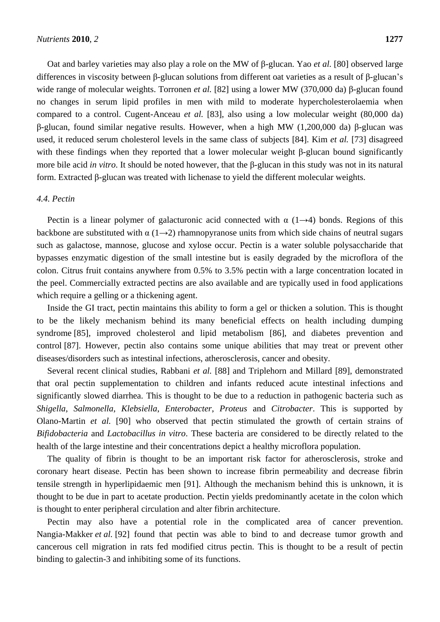Oat and barley varieties may also play a role on the MW of β-glucan. Yao *et al.* [80] observed large differences in viscosity between β-glucan solutions from different oat varieties as a result of β-glucan's wide range of molecular weights. Torronen *et al.* [82] using a lower MW (370,000 da) β-glucan found no changes in serum lipid profiles in men with mild to moderate hypercholesterolaemia when compared to a control. Cugent-Anceau *et al.* [83], also using a low molecular weight (80,000 da) β-glucan, found similar negative results. However, when a high MW (1,200,000 da) β-glucan was used, it reduced serum cholesterol levels in the same class of subjects [84]. Kim *et al.* [73] disagreed with these findings when they reported that a lower molecular weight β-glucan bound significantly more bile acid *in vitro*. It should be noted however, that the β-glucan in this study was not in its natural form. Extracted β-glucan was treated with lichenase to yield the different molecular weights.

#### *4.4. Pectin*

Pectin is a linear polymer of galacturonic acid connected with  $\alpha$  (1→4) bonds. Regions of this backbone are substituted with  $\alpha$  (1→2) rhamnopyranose units from which side chains of neutral sugars such as galactose, mannose, glucose and xylose occur. Pectin is a water soluble polysaccharide that bypasses enzymatic digestion of the small intestine but is easily degraded by the microflora of the colon. Citrus fruit contains anywhere from 0.5% to 3.5% pectin with a large concentration located in the peel. Commercially extracted pectins are also available and are typically used in food applications which require a gelling or a thickening agent.

Inside the GI tract, pectin maintains this ability to form a gel or thicken a solution. This is thought to be the likely mechanism behind its many beneficial effects on health including dumping syndrome [85], improved cholesterol and lipid metabolism [86], and diabetes prevention and control [87]. However, pectin also contains some unique abilities that may treat or prevent other diseases/disorders such as intestinal infections, atherosclerosis, cancer and obesity.

Several recent clinical studies, Rabbani *et al.* [88] and Triplehorn and Millard [89], demonstrated that oral pectin supplementation to children and infants reduced acute intestinal infections and significantly slowed diarrhea. This is thought to be due to a reduction in pathogenic bacteria such as *Shigella*, *Salmonella*, *Klebsiella*, *Enterobacter*, *Proteus* and *Citrobacter*. This is supported by Olano-Martin *et al.* [90] who observed that pectin stimulated the growth of certain strains of *Bifidobacteria* and *Lactobacillus in vitro*. These bacteria are considered to be directly related to the health of the large intestine and their concentrations depict a healthy microflora population.

The quality of fibrin is thought to be an important risk factor for atherosclerosis, stroke and coronary heart disease. Pectin has been shown to increase fibrin permeability and decrease fibrin tensile strength in hyperlipidaemic men [91]. Although the mechanism behind this is unknown, it is thought to be due in part to acetate production. Pectin yields predominantly acetate in the colon which is thought to enter peripheral circulation and alter fibrin architecture.

Pectin may also have a potential role in the complicated area of cancer prevention. Nangia-Makker *et al.* [92] found that pectin was able to bind to and decrease tumor growth and cancerous cell migration in rats fed modified citrus pectin. This is thought to be a result of pectin binding to galectin-3 and inhibiting some of its functions.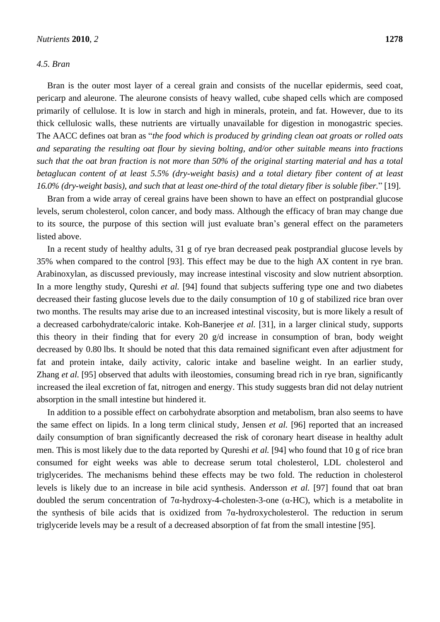## *4.5. Bran*

Bran is the outer most layer of a cereal grain and consists of the nucellar epidermis, seed coat, pericarp and aleurone. The aleurone consists of heavy walled, cube shaped cells which are composed primarily of cellulose. It is low in starch and high in minerals, protein, and fat. However, due to its thick cellulosic walls, these nutrients are virtually unavailable for digestion in monogastric species. The AACC defines oat bran as ―*the food which is produced by grinding clean oat groats or rolled oats and separating the resulting oat flour by sieving bolting, and/or other suitable means into fractions* such that the oat bran fraction is not more than 50% of the original starting material and has a total *betaglucan content of at least 5.5% (dry-weight basis) and a total dietary fiber content of at least* 16.0% (dry-weight basis), and such that at least one-third of the total dietary fiber is soluble fiber." [19].

Bran from a wide array of cereal grains have been shown to have an effect on postprandial glucose levels, serum cholesterol, colon cancer, and body mass. Although the efficacy of bran may change due to its source, the purpose of this section will just evaluate bran's general effect on the parameters listed above.

In a recent study of healthy adults, 31 g of rye bran decreased peak postprandial glucose levels by 35% when compared to the control [93]. This effect may be due to the high AX content in rye bran. Arabinoxylan, as discussed previously, may increase intestinal viscosity and slow nutrient absorption. In a more lengthy study, Qureshi *et al.* [94] found that subjects suffering type one and two diabetes decreased their fasting glucose levels due to the daily consumption of 10 g of stabilized rice bran over two months. The results may arise due to an increased intestinal viscosity, but is more likely a result of a decreased carbohydrate/caloric intake. Koh-Banerjee *et al.* [31], in a larger clinical study, supports this theory in their finding that for every 20 g/d increase in consumption of bran, body weight decreased by 0.80 lbs. It should be noted that this data remained significant even after adjustment for fat and protein intake, daily activity, caloric intake and baseline weight. In an earlier study, Zhang *et al.* [95] observed that adults with ileostomies, consuming bread rich in rye bran, significantly increased the ileal excretion of fat, nitrogen and energy. This study suggests bran did not delay nutrient absorption in the small intestine but hindered it.

In addition to a possible effect on carbohydrate absorption and metabolism, bran also seems to have the same effect on lipids. In a long term clinical study, Jensen *et al.* [96] reported that an increased daily consumption of bran significantly decreased the risk of coronary heart disease in healthy adult men. This is most likely due to the data reported by Qureshi *et al.* [94] who found that 10 g of rice bran consumed for eight weeks was able to decrease serum total cholesterol, LDL cholesterol and triglycerides. The mechanisms behind these effects may be two fold. The reduction in cholesterol levels is likely due to an increase in bile acid synthesis. Andersson *et al.* [97] found that oat bran doubled the serum concentration of 7α-hydroxy-4-cholesten-3-one (α-HC), which is a metabolite in the synthesis of bile acids that is oxidized from  $7\alpha$ -hydroxycholesterol. The reduction in serum triglyceride levels may be a result of a decreased absorption of fat from the small intestine [95].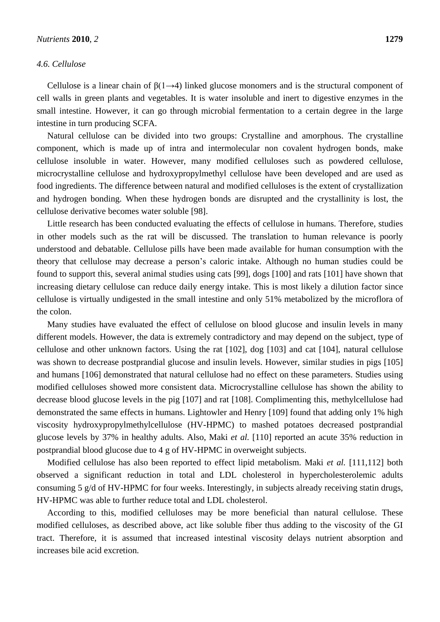## *4.6. Cellulose*

Cellulose is a linear chain of  $\beta(1\rightarrow4)$  linked glucose monomers and is the structural component of cell walls in green plants and vegetables. It is water insoluble and inert to digestive enzymes in the small intestine. However, it can go through microbial fermentation to a certain degree in the large intestine in turn producing SCFA.

Natural cellulose can be divided into two groups: Crystalline and amorphous. The crystalline component, which is made up of intra and intermolecular non covalent hydrogen bonds, make cellulose insoluble in water. However, many modified celluloses such as powdered cellulose, microcrystalline cellulose and hydroxypropylmethyl cellulose have been developed and are used as food ingredients. The difference between natural and modified celluloses is the extent of crystallization and hydrogen bonding. When these hydrogen bonds are disrupted and the crystallinity is lost, the cellulose derivative becomes water soluble [98].

Little research has been conducted evaluating the effects of cellulose in humans. Therefore, studies in other models such as the rat will be discussed. The translation to human relevance is poorly understood and debatable. Cellulose pills have been made available for human consumption with the theory that cellulose may decrease a person's caloric intake. Although no human studies could be found to support this, several animal studies using cats [99], dogs [100] and rats [101] have shown that increasing dietary cellulose can reduce daily energy intake. This is most likely a dilution factor since cellulose is virtually undigested in the small intestine and only 51% metabolized by the microflora of the colon.

Many studies have evaluated the effect of cellulose on blood glucose and insulin levels in many different models. However, the data is extremely contradictory and may depend on the subject, type of cellulose and other unknown factors. Using the rat [102], dog [103] and cat [104], natural cellulose was shown to decrease postprandial glucose and insulin levels. However, similar studies in pigs [105] and humans [106] demonstrated that natural cellulose had no effect on these parameters. Studies using modified celluloses showed more consistent data. Microcrystalline cellulose has shown the ability to decrease blood glucose levels in the pig [107] and rat [108]. Complimenting this, methylcellulose had demonstrated the same effects in humans. Lightowler and Henry [109] found that adding only 1% high viscosity hydroxypropylmethylcellulose (HV-HPMC) to mashed potatoes decreased postprandial glucose levels by 37% in healthy adults. Also, Maki *et al.* [110] reported an acute 35% reduction in postprandial blood glucose due to 4 g of HV-HPMC in overweight subjects.

Modified cellulose has also been reported to effect lipid metabolism. Maki *et al.* [111,112] both observed a significant reduction in total and LDL cholesterol in hypercholesterolemic adults consuming 5 g/d of HV-HPMC for four weeks. Interestingly, in subjects already receiving statin drugs, HV-HPMC was able to further reduce total and LDL cholesterol.

According to this, modified celluloses may be more beneficial than natural cellulose. These modified celluloses, as described above, act like soluble fiber thus adding to the viscosity of the GI tract. Therefore, it is assumed that increased intestinal viscosity delays nutrient absorption and increases bile acid excretion.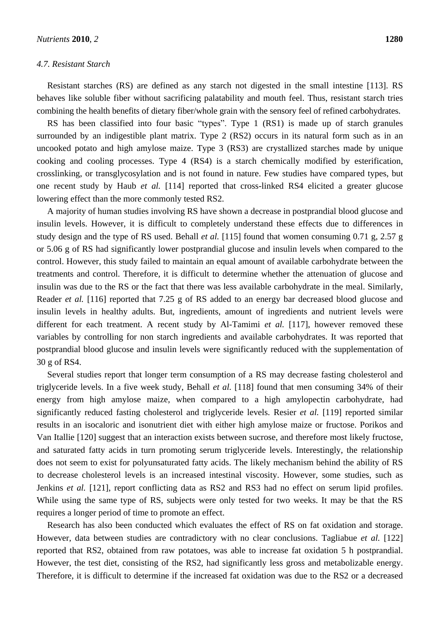#### *4.7. Resistant Starch*

Resistant starches (RS) are defined as any starch not digested in the small intestine [113]. RS behaves like soluble fiber without sacrificing palatability and mouth feel. Thus, resistant starch tries combining the health benefits of dietary fiber/whole grain with the sensory feel of refined carbohydrates.

RS has been classified into four basic "types". Type 1 (RS1) is made up of starch granules surrounded by an indigestible plant matrix. Type 2 (RS2) occurs in its natural form such as in an uncooked potato and high amylose maize. Type 3 (RS3) are crystallized starches made by unique cooking and cooling processes. Type 4 (RS4) is a starch chemically modified by esterification, crosslinking, or transglycosylation and is not found in nature. Few studies have compared types, but one recent study by Haub *et al.* [114] reported that cross-linked RS4 elicited a greater glucose lowering effect than the more commonly tested RS2.

A majority of human studies involving RS have shown a decrease in postprandial blood glucose and insulin levels. However, it is difficult to completely understand these effects due to differences in study design and the type of RS used. Behall *et al.* [115] found that women consuming 0.71 g, 2.57 g or 5.06 g of RS had significantly lower postprandial glucose and insulin levels when compared to the control. However, this study failed to maintain an equal amount of available carbohydrate between the treatments and control. Therefore, it is difficult to determine whether the attenuation of glucose and insulin was due to the RS or the fact that there was less available carbohydrate in the meal. Similarly, Reader *et al.* [116] reported that 7.25 g of RS added to an energy bar decreased blood glucose and insulin levels in healthy adults. But, ingredients, amount of ingredients and nutrient levels were different for each treatment. A recent study by Al-Tamimi *et al.* [117], however removed these variables by controlling for non starch ingredients and available carbohydrates. It was reported that postprandial blood glucose and insulin levels were significantly reduced with the supplementation of 30 g of RS4.

Several studies report that longer term consumption of a RS may decrease fasting cholesterol and triglyceride levels. In a five week study, Behall *et al.* [118] found that men consuming 34% of their energy from high amylose maize, when compared to a high amylopectin carbohydrate, had significantly reduced fasting cholesterol and triglyceride levels. Resier *et al.* [119] reported similar results in an isocaloric and isonutrient diet with either high amylose maize or fructose. Porikos and Van Itallie [120] suggest that an interaction exists between sucrose, and therefore most likely fructose, and saturated fatty acids in turn promoting serum triglyceride levels. Interestingly, the relationship does not seem to exist for polyunsaturated fatty acids. The likely mechanism behind the ability of RS to decrease cholesterol levels is an increased intestinal viscosity. However, some studies, such as Jenkins *et al.* [121], report conflicting data as RS2 and RS3 had no effect on serum lipid profiles. While using the same type of RS, subjects were only tested for two weeks. It may be that the RS requires a longer period of time to promote an effect.

Research has also been conducted which evaluates the effect of RS on fat oxidation and storage. However, data between studies are contradictory with no clear conclusions. Tagliabue *et al.* [122] reported that RS2, obtained from raw potatoes, was able to increase fat oxidation 5 h postprandial. However, the test diet, consisting of the RS2, had significantly less gross and metabolizable energy. Therefore, it is difficult to determine if the increased fat oxidation was due to the RS2 or a decreased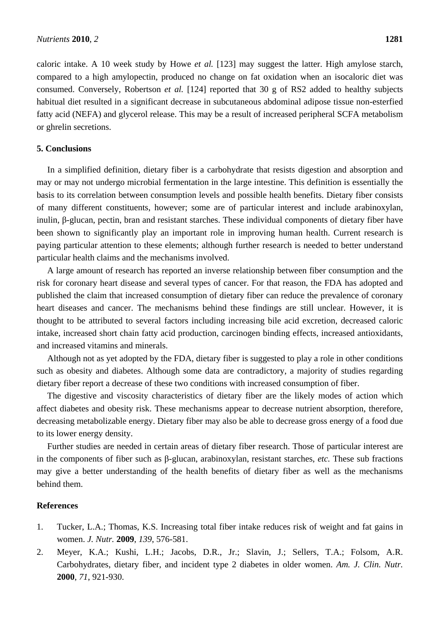caloric intake. A 10 week study by Howe *et al.* [123] may suggest the latter. High amylose starch, compared to a high amylopectin, produced no change on fat oxidation when an isocaloric diet was consumed. Conversely, Robertson *et al.* [124] reported that 30 g of RS2 added to healthy subjects habitual diet resulted in a significant decrease in subcutaneous abdominal adipose tissue non-esterfied fatty acid (NEFA) and glycerol release. This may be a result of increased peripheral SCFA metabolism or ghrelin secretions.

#### **5. Conclusions**

In a simplified definition, dietary fiber is a carbohydrate that resists digestion and absorption and may or may not undergo microbial fermentation in the large intestine. This definition is essentially the basis to its correlation between consumption levels and possible health benefits. Dietary fiber consists of many different constituents, however; some are of particular interest and include arabinoxylan, inulin, β-glucan, pectin, bran and resistant starches. These individual components of dietary fiber have been shown to significantly play an important role in improving human health. Current research is paying particular attention to these elements; although further research is needed to better understand particular health claims and the mechanisms involved.

A large amount of research has reported an inverse relationship between fiber consumption and the risk for coronary heart disease and several types of cancer. For that reason, the FDA has adopted and published the claim that increased consumption of dietary fiber can reduce the prevalence of coronary heart diseases and cancer. The mechanisms behind these findings are still unclear. However, it is thought to be attributed to several factors including increasing bile acid excretion, decreased caloric intake, increased short chain fatty acid production, carcinogen binding effects, increased antioxidants, and increased vitamins and minerals.

Although not as yet adopted by the FDA, dietary fiber is suggested to play a role in other conditions such as obesity and diabetes. Although some data are contradictory, a majority of studies regarding dietary fiber report a decrease of these two conditions with increased consumption of fiber.

The digestive and viscosity characteristics of dietary fiber are the likely modes of action which affect diabetes and obesity risk. These mechanisms appear to decrease nutrient absorption, therefore, decreasing metabolizable energy. Dietary fiber may also be able to decrease gross energy of a food due to its lower energy density.

Further studies are needed in certain areas of dietary fiber research. Those of particular interest are in the components of fiber such as β-glucan, arabinoxylan, resistant starches, *etc.* These sub fractions may give a better understanding of the health benefits of dietary fiber as well as the mechanisms behind them.

#### **References**

- 1. Tucker, L.A.; Thomas, K.S. Increasing total fiber intake reduces risk of weight and fat gains in women. *J. Nutr.* **2009**, *139*, 576-581.
- 2. Meyer, K.A.; Kushi, L.H.; Jacobs, D.R., Jr.; Slavin, J.; Sellers, T.A.; Folsom, A.R. Carbohydrates, dietary fiber, and incident type 2 diabetes in older women. *Am. J. Clin. Nutr.* **2000**, *71*, 921-930.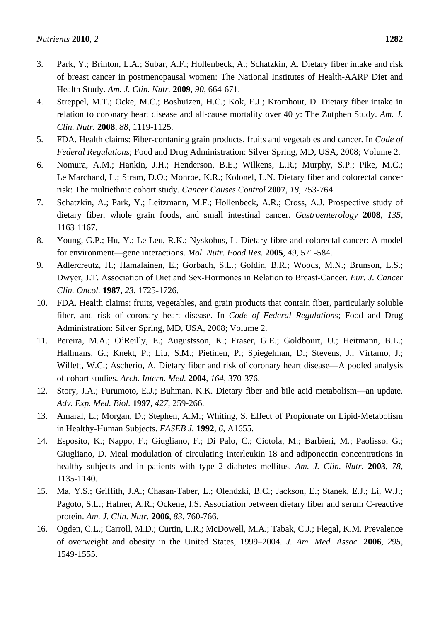- 3. Park, Y.; Brinton, L.A.; Subar, A.F.; Hollenbeck, A.; Schatzkin, A. Dietary fiber intake and risk of breast cancer in postmenopausal women: The National Institutes of Health-AARP Diet and Health Study. *Am. J. Clin. Nutr.* **2009**, *90*, 664-671.
- 4. Streppel, M.T.; Ocke, M.C.; Boshuizen, H.C.; Kok, F.J.; Kromhout, D. Dietary fiber intake in relation to coronary heart disease and all-cause mortality over 40 y: The Zutphen Study. *Am. J. Clin. Nutr.* **2008**, *88*, 1119-1125.
- 5. FDA. Health claims: Fiber-contaning grain products, fruits and vegetables and cancer. In *Code of Federal Regulations*; Food and Drug Administration: Silver Spring, MD, USA, 2008; Volume 2.
- 6. Nomura, A.M.; Hankin, J.H.; Henderson, B.E.; Wilkens, L.R.; Murphy, S.P.; Pike, M.C.; Le Marchand, L.; Stram, D.O.; Monroe, K.R.; Kolonel, L.N. Dietary fiber and colorectal cancer risk: The multiethnic cohort study. *Cancer Causes Control* **2007**, *18*, 753-764.
- 7. Schatzkin, A.; Park, Y.; Leitzmann, M.F.; Hollenbeck, A.R.; Cross, A.J. Prospective study of dietary fiber, whole grain foods, and small intestinal cancer. *Gastroenterology* **2008**, *135*, 1163-1167.
- 8. Young, G.P.; Hu, Y.; Le Leu, R.K.; Nyskohus, L. Dietary fibre and colorectal cancer: A model for environment—gene interactions. *Mol. Nutr. Food Res.* **2005**, *49*, 571-584.
- 9. Adlercreutz, H.; Hamalainen, E.; Gorbach, S.L.; Goldin, B.R.; Woods, M.N.; Brunson, L.S.; Dwyer, J.T. Association of Diet and Sex-Hormones in Relation to Breast-Cancer. *Eur. J. Cancer Clin. Oncol.* **1987**, *23*, 1725-1726.
- 10. FDA. Health claims: fruits, vegetables, and grain products that contain fiber, particularly soluble fiber, and risk of coronary heart disease. In *Code of Federal Regulations*; Food and Drug Administration: Silver Spring, MD, USA, 2008; Volume 2.
- 11. Pereira, M.A.; O'Reilly, E.; Augustsson, K.; Fraser, G.E.; Goldbourt, U.; Heitmann, B.L.; Hallmans, G.; Knekt, P.; Liu, S.M.; Pietinen, P.; Spiegelman, D.; Stevens, J.; Virtamo, J.; Willett, W.C.; Ascherio, A. Dietary fiber and risk of coronary heart disease—A pooled analysis of cohort studies. *Arch. Intern. Med.* **2004**, *164*, 370-376.
- 12. Story, J.A.; Furumoto, E.J.; Buhman, K.K. Dietary fiber and bile acid metabolism—an update. *Adv. Exp. Med. Biol.* **1997**, *427*, 259-266.
- 13. Amaral, L.; Morgan, D.; Stephen, A.M.; Whiting, S. Effect of Propionate on Lipid-Metabolism in Healthy-Human Subjects. *FASEB J.* **1992**, *6*, A1655.
- 14. Esposito, K.; Nappo, F.; Giugliano, F.; Di Palo, C.; Ciotola, M.; Barbieri, M.; Paolisso, G.; Giugliano, D. Meal modulation of circulating interleukin 18 and adiponectin concentrations in healthy subjects and in patients with type 2 diabetes mellitus. *Am. J. Clin. Nutr.* **2003**, *78*, 1135-1140.
- 15. Ma, Y.S.; Griffith, J.A.; Chasan-Taber, L.; Olendzki, B.C.; Jackson, E.; Stanek, E.J.; Li, W.J.; Pagoto, S.L.; Hafner, A.R.; Ockene, I.S. Association between dietary fiber and serum C-reactive protein. *Am. J. Clin. Nutr.* **2006**, *83*, 760-766.
- 16. Ogden, C.L.; Carroll, M.D.; Curtin, L.R.; McDowell, M.A.; Tabak, C.J.; Flegal, K.M. Prevalence of overweight and obesity in the United States, 1999–2004. *J. Am. Med. Assoc.* **2006**, *295*, 1549-1555.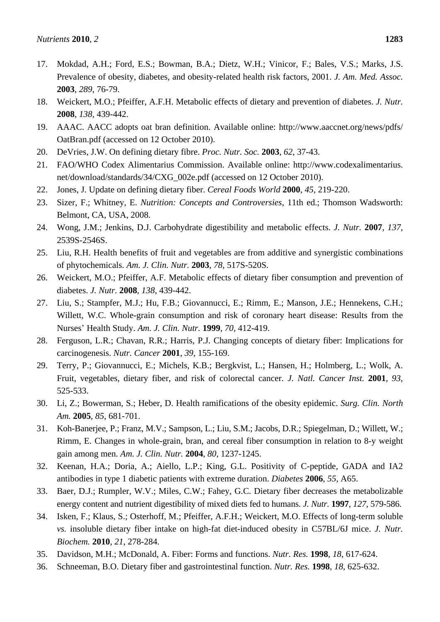- 17. Mokdad, A.H.; Ford, E.S.; Bowman, B.A.; Dietz, W.H.; Vinicor, F.; Bales, V.S.; Marks, J.S. Prevalence of obesity, diabetes, and obesity-related health risk factors, 2001. *J. Am. Med. Assoc.* **2003**, *289*, 76-79.
- 18. Weickert, M.O.; Pfeiffer, A.F.H. Metabolic effects of dietary and prevention of diabetes. *J. Nutr.* **2008**, *138*, 439-442.
- 19. AAAC. AACC adopts oat bran definition. Available online: http://www.aaccnet.org/news/pdfs/ OatBran.pdf (accessed on 12 October 2010).
- 20. DeVries, J.W. On defining dietary fibre. *Proc. Nutr. Soc.* **2003**, *62*, 37-43.
- 21. FAO/WHO Codex Alimentarius Commission. Available online: http://www.codexalimentarius. net/download/standards/34/CXG\_002e.pdf (accessed on 12 October 2010).
- 22. Jones, J. Update on defining dietary fiber. *Cereal Foods World* **2000**, *45*, 219-220.
- 23. Sizer, F.; Whitney, E. *Nutrition: Concepts and Controversies*, 11th ed.; Thomson Wadsworth: Belmont, CA, USA, 2008.
- 24. Wong, J.M.; Jenkins, D.J. Carbohydrate digestibility and metabolic effects. *J. Nutr.* **2007**, *137*, 2539S-2546S.
- 25. Liu, R.H. Health benefits of fruit and vegetables are from additive and synergistic combinations of phytochemicals. *Am. J. Clin. Nutr.* **2003**, *78*, 517S-520S.
- 26. Weickert, M.O.; Pfeiffer, A.F. Metabolic effects of dietary fiber consumption and prevention of diabetes. *J. Nutr.* **2008**, *138*, 439-442.
- 27. Liu, S.; Stampfer, M.J.; Hu, F.B.; Giovannucci, E.; Rimm, E.; Manson, J.E.; Hennekens, C.H.; Willett, W.C. Whole-grain consumption and risk of coronary heart disease: Results from the Nurses' Health Study. *Am. J. Clin. Nutr.* **1999**, *70*, 412-419.
- 28. Ferguson, L.R.; Chavan, R.R.; Harris, P.J. Changing concepts of dietary fiber: Implications for carcinogenesis. *Nutr. Cancer* **2001**, *39*, 155-169.
- 29. Terry, P.; Giovannucci, E.; Michels, K.B.; Bergkvist, L.; Hansen, H.; Holmberg, L.; Wolk, A. Fruit, vegetables, dietary fiber, and risk of colorectal cancer. *J. Natl. Cancer Inst.* **2001**, *93*, 525-533.
- 30. Li, Z.; Bowerman, S.; Heber, D. Health ramifications of the obesity epidemic. *Surg. Clin. North Am.* **2005**, *85*, 681-701.
- 31. Koh-Banerjee, P.; Franz, M.V.; Sampson, L.; Liu, S.M.; Jacobs, D.R.; Spiegelman, D.; Willett, W.; Rimm, E. Changes in whole-grain, bran, and cereal fiber consumption in relation to 8-y weight gain among men. *Am. J. Clin. Nutr.* **2004**, *80*, 1237-1245.
- 32. Keenan, H.A.; Doria, A.; Aiello, L.P.; King, G.L. Positivity of C-peptide, GADA and IA2 antibodies in type 1 diabetic patients with extreme duration. *Diabetes* **2006**, *55*, A65.
- 33. Baer, D.J.; Rumpler, W.V.; Miles, C.W.; Fahey, G.C. Dietary fiber decreases the metabolizable energy content and nutrient digestibility of mixed diets fed to humans. *J. Nutr.* **1997**, *127*, 579-586.
- 34. Isken, F.; Klaus, S.; Osterhoff, M.; Pfeiffer, A.F.H.; Weickert, M.O. Effects of long-term soluble *vs.* insoluble dietary fiber intake on high-fat diet-induced obesity in C57BL/6J mice. *J. Nutr. Biochem.* **2010**, *21*, 278-284.
- 35. Davidson, M.H.; McDonald, A. Fiber: Forms and functions. *Nutr. Res.* **1998**, *18*, 617-624.
- 36. Schneeman, B.O. Dietary fiber and gastrointestinal function. *Nutr. Res.* **1998**, *18*, 625-632.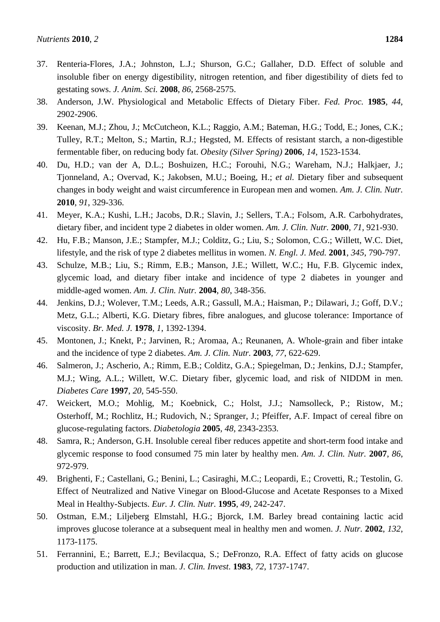- 37. Renteria-Flores, J.A.; Johnston, L.J.; Shurson, G.C.; Gallaher, D.D. Effect of soluble and insoluble fiber on energy digestibility, nitrogen retention, and fiber digestibility of diets fed to gestating sows. *J. Anim. Sci.* **2008**, *86*, 2568-2575.
- 38. Anderson, J.W. Physiological and Metabolic Effects of Dietary Fiber. *Fed. Proc.* **1985**, *44*, 2902-2906.
- 39. Keenan, M.J.; Zhou, J.; McCutcheon, K.L.; Raggio, A.M.; Bateman, H.G.; Todd, E.; Jones, C.K.; Tulley, R.T.; Melton, S.; Martin, R.J.; Hegsted, M. Effects of resistant starch, a non-digestible fermentable fiber, on reducing body fat. *Obesity (Silver Spring)* **2006**, *14*, 1523-1534.
- 40. Du, H.D.; van der A, D.L.; Boshuizen, H.C.; Forouhi, N.G.; Wareham, N.J.; Halkjaer, J.; Tjonneland, A.; Overvad, K.; Jakobsen, M.U.; Boeing, H.; *et al.* Dietary fiber and subsequent changes in body weight and waist circumference in European men and women. *Am. J. Clin. Nutr.* **2010**, *91*, 329-336.
- 41. Meyer, K.A.; Kushi, L.H.; Jacobs, D.R.; Slavin, J.; Sellers, T.A.; Folsom, A.R. Carbohydrates, dietary fiber, and incident type 2 diabetes in older women. *Am. J. Clin. Nutr.* **2000**, *71*, 921-930.
- 42. Hu, F.B.; Manson, J.E.; Stampfer, M.J.; Colditz, G.; Liu, S.; Solomon, C.G.; Willett, W.C. Diet, lifestyle, and the risk of type 2 diabetes mellitus in women. *N. Engl. J. Med.* **2001**, *345*, 790-797.
- 43. Schulze, M.B.; Liu, S.; Rimm, E.B.; Manson, J.E.; Willett, W.C.; Hu, F.B. Glycemic index, glycemic load, and dietary fiber intake and incidence of type 2 diabetes in younger and middle-aged women. *Am. J. Clin. Nutr.* **2004**, *80*, 348-356.
- 44. Jenkins, D.J.; Wolever, T.M.; Leeds, A.R.; Gassull, M.A.; Haisman, P.; Dilawari, J.; Goff, D.V.; Metz, G.L.; Alberti, K.G. Dietary fibres, fibre analogues, and glucose tolerance: Importance of viscosity. *Br. Med. J.* **1978**, *1*, 1392-1394.
- 45. Montonen, J.; Knekt, P.; Jarvinen, R.; Aromaa, A.; Reunanen, A. Whole-grain and fiber intake and the incidence of type 2 diabetes. *Am. J. Clin. Nutr.* **2003**, *77*, 622-629.
- 46. Salmeron, J.; Ascherio, A.; Rimm, E.B.; Colditz, G.A.; Spiegelman, D.; Jenkins, D.J.; Stampfer, M.J.; Wing, A.L.; Willett, W.C. Dietary fiber, glycemic load, and risk of NIDDM in men. *Diabetes Care* **1997**, *20*, 545-550.
- 47. Weickert, M.O.; Mohlig, M.; Koebnick, C.; Holst, J.J.; Namsolleck, P.; Ristow, M.; Osterhoff, M.; Rochlitz, H.; Rudovich, N.; Spranger, J.; Pfeiffer, A.F. Impact of cereal fibre on glucose-regulating factors. *Diabetologia* **2005**, *48*, 2343-2353.
- 48. Samra, R.; Anderson, G.H. Insoluble cereal fiber reduces appetite and short-term food intake and glycemic response to food consumed 75 min later by healthy men. *Am. J. Clin. Nutr.* **2007**, *86*, 972-979.
- 49. Brighenti, F.; Castellani, G.; Benini, L.; Casiraghi, M.C.; Leopardi, E.; Crovetti, R.; Testolin, G. Effect of Neutralized and Native Vinegar on Blood-Glucose and Acetate Responses to a Mixed Meal in Healthy-Subjects. *Eur. J. Clin. Nutr.* **1995**, *49*, 242-247.
- 50. Ostman, E.M.; Liljeberg Elmstahl, H.G.; Bjorck, I.M. Barley bread containing lactic acid improves glucose tolerance at a subsequent meal in healthy men and women. *J. Nutr.* **2002**, *132*, 1173-1175.
- 51. Ferrannini, E.; Barrett, E.J.; Bevilacqua, S.; DeFronzo, R.A. Effect of fatty acids on glucose production and utilization in man. *J. Clin. Invest.* **1983**, *72*, 1737-1747.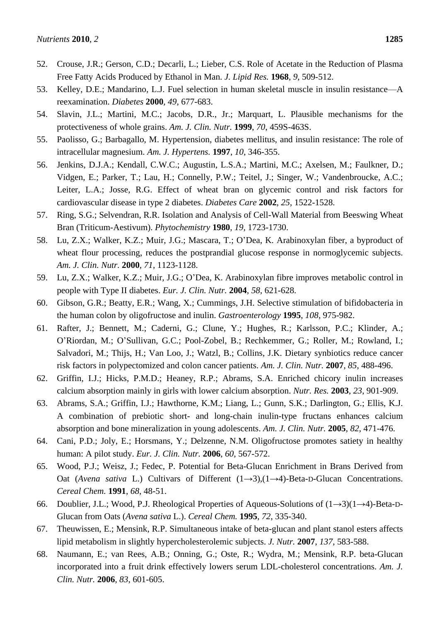- 52. Crouse, J.R.; Gerson, C.D.; Decarli, L.; Lieber, C.S. Role of Acetate in the Reduction of Plasma Free Fatty Acids Produced by Ethanol in Man. *J. Lipid Res.* **1968**, *9*, 509-512.
- 53. Kelley, D.E.; Mandarino, L.J. Fuel selection in human skeletal muscle in insulin resistance—A reexamination. *Diabetes* **2000**, *49*, 677-683.
- 54. Slavin, J.L.; Martini, M.C.; Jacobs, D.R., Jr.; Marquart, L. Plausible mechanisms for the protectiveness of whole grains. *Am. J. Clin. Nutr.* **1999**, *70*, 459S-463S.
- 55. Paolisso, G.; Barbagallo, M. Hypertension, diabetes mellitus, and insulin resistance: The role of intracellular magnesium. *Am. J. Hypertens.* **1997**, *10*, 346-355.
- 56. Jenkins, D.J.A.; Kendall, C.W.C.; Augustin, L.S.A.; Martini, M.C.; Axelsen, M.; Faulkner, D.; Vidgen, E.; Parker, T.; Lau, H.; Connelly, P.W.; Teitel, J.; Singer, W.; Vandenbroucke, A.C.; Leiter, L.A.; Josse, R.G. Effect of wheat bran on glycemic control and risk factors for cardiovascular disease in type 2 diabetes. *Diabetes Care* **2002**, *25*, 1522-1528.
- 57. Ring, S.G.; Selvendran, R.R. Isolation and Analysis of Cell-Wall Material from Beeswing Wheat Bran (Triticum-Aestivum). *Phytochemistry* **1980**, *19*, 1723-1730.
- 58. Lu, Z.X.; Walker, K.Z.; Muir, J.G.; Mascara, T.; O'Dea, K. Arabinoxylan fiber, a byproduct of wheat flour processing, reduces the postprandial glucose response in normoglycemic subjects. *Am. J. Clin. Nutr.* **2000**, *71*, 1123-1128.
- 59. Lu, Z.X.; Walker, K.Z.; Muir, J.G.; O'Dea, K. Arabinoxylan fibre improves metabolic control in people with Type II diabetes. *Eur. J. Clin. Nutr.* **2004**, *58*, 621-628.
- 60. Gibson, G.R.; Beatty, E.R.; Wang, X.; Cummings, J.H. Selective stimulation of bifidobacteria in the human colon by oligofructose and inulin. *Gastroenterology* **1995**, *108*, 975-982.
- 61. Rafter, J.; Bennett, M.; Caderni, G.; Clune, Y.; Hughes, R.; Karlsson, P.C.; Klinder, A.; O'Riordan, M.; O'Sullivan, G.C.; Pool-Zobel, B.; Rechkemmer, G.; Roller, M.; Rowland, I.; Salvadori, M.; Thijs, H.; Van Loo, J.; Watzl, B.; Collins, J.K. Dietary synbiotics reduce cancer risk factors in polypectomized and colon cancer patients. *Am. J. Clin. Nutr.* **2007**, *85*, 488-496.
- 62. Griffin, I.J.; Hicks, P.M.D.; Heaney, R.P.; Abrams, S.A. Enriched chicory inulin increases calcium absorption mainly in girls with lower calcium absorption. *Nutr. Res.* **2003**, *23*, 901-909.
- 63. Abrams, S.A.; Griffin, I.J.; Hawthorne, K.M.; Liang, L.; Gunn, S.K.; Darlington, G.; Ellis, K.J. A combination of prebiotic short- and long-chain inulin-type fructans enhances calcium absorption and bone mineralization in young adolescents. *Am. J. Clin. Nutr.* **2005**, *82*, 471-476.
- 64. Cani, P.D.; Joly, E.; Horsmans, Y.; Delzenne, N.M. Oligofructose promotes satiety in healthy human: A pilot study. *Eur. J. Clin. Nutr.* **2006**, *60*, 567-572.
- 65. Wood, P.J.; Weisz, J.; Fedec, P. Potential for Beta-Glucan Enrichment in Brans Derived from Oat (*Avena sativa* L.) Cultivars of Different (1→3),(1→4)-Beta-D-Glucan Concentrations. *Cereal Chem.* **1991**, *68*, 48-51.
- 66. Doublier, J.L.; Wood, P.J. Rheological Properties of Aqueous-Solutions of (1→3)(1→4)-Beta-D-Glucan from Oats (*Avena sativa* L.). *Cereal Chem.* **1995**, *72*, 335-340.
- 67. Theuwissen, E.; Mensink, R.P. Simultaneous intake of beta-glucan and plant stanol esters affects lipid metabolism in slightly hypercholesterolemic subjects. *J. Nutr.* **2007**, *137*, 583-588.
- 68. Naumann, E.; van Rees, A.B.; Onning, G.; Oste, R.; Wydra, M.; Mensink, R.P. beta-Glucan incorporated into a fruit drink effectively lowers serum LDL-cholesterol concentrations. *Am. J. Clin. Nutr.* **2006**, *83*, 601-605.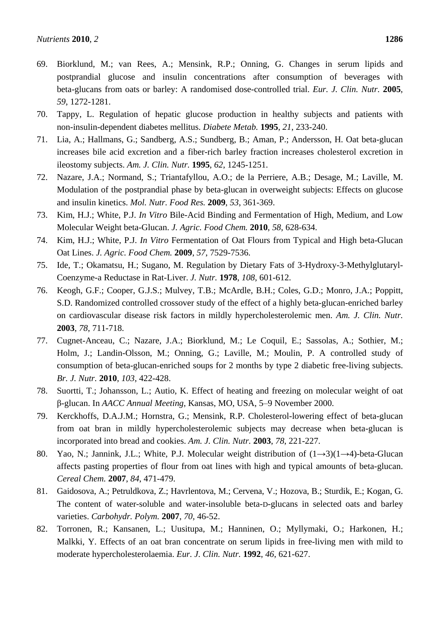- 69. Biorklund, M.; van Rees, A.; Mensink, R.P.; Onning, G. Changes in serum lipids and postprandial glucose and insulin concentrations after consumption of beverages with beta-glucans from oats or barley: A randomised dose-controlled trial. *Eur. J. Clin. Nutr.* **2005**, *59*, 1272-1281.
- 70. Tappy, L. Regulation of hepatic glucose production in healthy subjects and patients with non-insulin-dependent diabetes mellitus. *Diabete Metab.* **1995**, *21*, 233-240.
- 71. Lia, A.; Hallmans, G.; Sandberg, A.S.; Sundberg, B.; Aman, P.; Andersson, H. Oat beta-glucan increases bile acid excretion and a fiber-rich barley fraction increases cholesterol excretion in ileostomy subjects. *Am. J. Clin. Nutr.* **1995**, *62*, 1245-1251.
- 72. Nazare, J.A.; Normand, S.; Triantafyllou, A.O.; de la Perriere, A.B.; Desage, M.; Laville, M. Modulation of the postprandial phase by beta-glucan in overweight subjects: Effects on glucose and insulin kinetics. *Mol. Nutr. Food Res.* **2009**, *53*, 361-369.
- 73. Kim, H.J.; White, P.J. *In Vitro* Bile-Acid Binding and Fermentation of High, Medium, and Low Molecular Weight beta-Glucan. *J. Agric. Food Chem.* **2010**, *58*, 628-634.
- 74. Kim, H.J.; White, P.J. *In Vitro* Fermentation of Oat Flours from Typical and High beta-Glucan Oat Lines. *J. Agric. Food Chem.* **2009**, *57*, 7529-7536.
- 75. Ide, T.; Okamatsu, H.; Sugano, M. Regulation by Dietary Fats of 3-Hydroxy-3-Methylglutaryl-Coenzyme-a Reductase in Rat-Liver. *J. Nutr.* **1978**, *108*, 601-612.
- 76. Keogh, G.F.; Cooper, G.J.S.; Mulvey, T.B.; McArdle, B.H.; Coles, G.D.; Monro, J.A.; Poppitt, S.D. Randomized controlled crossover study of the effect of a highly beta-glucan-enriched barley on cardiovascular disease risk factors in mildly hypercholesterolemic men. *Am. J. Clin. Nutr.* **2003**, *78*, 711-718.
- 77. Cugnet-Anceau, C.; Nazare, J.A.; Biorklund, M.; Le Coquil, E.; Sassolas, A.; Sothier, M.; Holm, J.; Landin-Olsson, M.; Onning, G.; Laville, M.; Moulin, P. A controlled study of consumption of beta-glucan-enriched soups for 2 months by type 2 diabetic free-living subjects. *Br. J. Nutr.* **2010**, *103*, 422-428.
- 78. Suortti, T.; Johansson, L.; Autio, K. Effect of heating and freezing on molecular weight of oat β-glucan. In *AACC Annual Meeting*, Kansas, MO, USA, 5–9 November 2000.
- 79. Kerckhoffs, D.A.J.M.; Hornstra, G.; Mensink, R.P. Cholesterol-lowering effect of beta-glucan from oat bran in mildly hypercholesterolemic subjects may decrease when beta-glucan is incorporated into bread and cookies. *Am. J. Clin. Nutr.* **2003**, *78*, 221-227.
- 80. Yao, N.; Jannink, J.L.; White, P.J. Molecular weight distribution of (1→3)(1→4)-beta-Glucan affects pasting properties of flour from oat lines with high and typical amounts of beta-glucan. *Cereal Chem.* **2007**, *84*, 471-479.
- 81. Gaidosova, A.; Petruldkova, Z.; Havrlentova, M.; Cervena, V.; Hozova, B.; Sturdik, E.; Kogan, G. The content of water-soluble and water-insoluble beta-D-glucans in selected oats and barley varieties. *Carbohydr. Polym.* **2007**, *70*, 46-52.
- 82. Torronen, R.; Kansanen, L.; Uusitupa, M.; Hanninen, O.; Myllymaki, O.; Harkonen, H.; Malkki, Y. Effects of an oat bran concentrate on serum lipids in free-living men with mild to moderate hypercholesterolaemia. *Eur. J. Clin. Nutr.* **1992**, *46*, 621-627.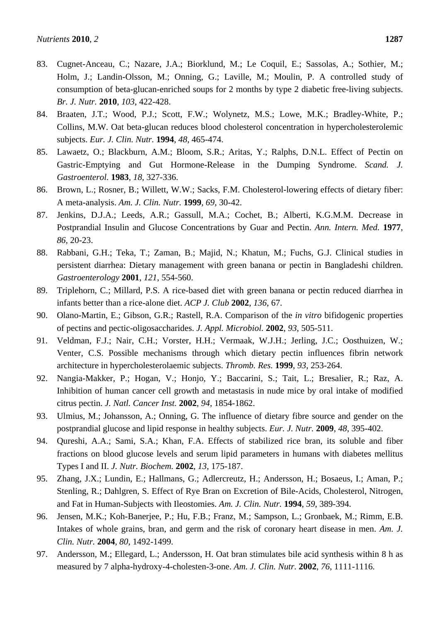- 83. Cugnet-Anceau, C.; Nazare, J.A.; Biorklund, M.; Le Coquil, E.; Sassolas, A.; Sothier, M.; Holm, J.; Landin-Olsson, M.; Onning, G.; Laville, M.; Moulin, P. A controlled study of consumption of beta-glucan-enriched soups for 2 months by type 2 diabetic free-living subjects. *Br. J. Nutr.* **2010**, *103*, 422-428.
- 84. Braaten, J.T.; Wood, P.J.; Scott, F.W.; Wolynetz, M.S.; Lowe, M.K.; Bradley-White, P.; Collins, M.W. Oat beta-glucan reduces blood cholesterol concentration in hypercholesterolemic subjects. *Eur. J. Clin. Nutr.* **1994**, *48*, 465-474.
- 85. Lawaetz, O.; Blackburn, A.M.; Bloom, S.R.; Aritas, Y.; Ralphs, D.N.L. Effect of Pectin on Gastric-Emptying and Gut Hormone-Release in the Dumping Syndrome. *Scand. J. Gastroenterol.* **1983**, *18*, 327-336.
- 86. Brown, L.; Rosner, B.; Willett, W.W.; Sacks, F.M. Cholesterol-lowering effects of dietary fiber: A meta-analysis. *Am. J. Clin. Nutr.* **1999**, *69*, 30-42.
- 87. Jenkins, D.J.A.; Leeds, A.R.; Gassull, M.A.; Cochet, B.; Alberti, K.G.M.M. Decrease in Postprandial Insulin and Glucose Concentrations by Guar and Pectin. *Ann. Intern. Med.* **1977**, *86*, 20-23.
- 88. Rabbani, G.H.; Teka, T.; Zaman, B.; Majid, N.; Khatun, M.; Fuchs, G.J. Clinical studies in persistent diarrhea: Dietary management with green banana or pectin in Bangladeshi children. *Gastroenterology* **2001**, *121*, 554-560.
- 89. Triplehorn, C.; Millard, P.S. A rice-based diet with green banana or pectin reduced diarrhea in infants better than a rice-alone diet. *ACP J. Club* **2002**, *136*, 67.
- 90. Olano-Martin, E.; Gibson, G.R.; Rastell, R.A. Comparison of the *in vitro* bifidogenic properties of pectins and pectic-oligosaccharides. *J. Appl. Microbiol.* **2002**, *93*, 505-511.
- 91. Veldman, F.J.; Nair, C.H.; Vorster, H.H.; Vermaak, W.J.H.; Jerling, J.C.; Oosthuizen, W.; Venter, C.S. Possible mechanisms through which dietary pectin influences fibrin network architecture in hypercholesterolaemic subjects. *Thromb. Res.* **1999**, *93*, 253-264.
- 92. Nangia-Makker, P.; Hogan, V.; Honjo, Y.; Baccarini, S.; Tait, L.; Bresalier, R.; Raz, A. Inhibition of human cancer cell growth and metastasis in nude mice by oral intake of modified citrus pectin. *J. Natl. Cancer Inst.* **2002**, *94*, 1854-1862.
- 93. Ulmius, M.; Johansson, A.; Onning, G. The influence of dietary fibre source and gender on the postprandial glucose and lipid response in healthy subjects. *Eur. J. Nutr.* **2009**, *48*, 395-402.
- 94. Qureshi, A.A.; Sami, S.A.; Khan, F.A. Effects of stabilized rice bran, its soluble and fiber fractions on blood glucose levels and serum lipid parameters in humans with diabetes mellitus Types I and II. *J. Nutr. Biochem.* **2002**, *13*, 175-187.
- 95. Zhang, J.X.; Lundin, E.; Hallmans, G.; Adlercreutz, H.; Andersson, H.; Bosaeus, I.; Aman, P.; Stenling, R.; Dahlgren, S. Effect of Rye Bran on Excretion of Bile-Acids, Cholesterol, Nitrogen, and Fat in Human-Subjects with Ileostomies. *Am. J. Clin. Nutr.* **1994**, *59*, 389-394.
- 96. Jensen, M.K.; Koh-Banerjee, P.; Hu, F.B.; Franz, M.; Sampson, L.; Gronbaek, M.; Rimm, E.B. Intakes of whole grains, bran, and germ and the risk of coronary heart disease in men. *Am. J. Clin. Nutr.* **2004**, *80*, 1492-1499.
- 97. Andersson, M.; Ellegard, L.; Andersson, H. Oat bran stimulates bile acid synthesis within 8 h as measured by 7 alpha-hydroxy-4-cholesten-3-one. *Am. J. Clin. Nutr.* **2002**, *76*, 1111-1116.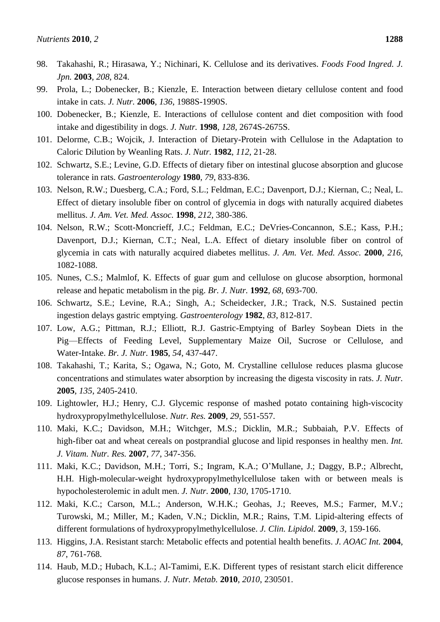- 98. Takahashi, R.; Hirasawa, Y.; Nichinari, K. Cellulose and its derivatives. *Foods Food Ingred. J. Jpn.* **2003**, *208*, 824.
- 99. Prola, L.; Dobenecker, B.; Kienzle, E. Interaction between dietary cellulose content and food intake in cats. *J. Nutr.* **2006**, *136*, 1988S-1990S.
- 100. Dobenecker, B.; Kienzle, E. Interactions of cellulose content and diet composition with food intake and digestibility in dogs. *J. Nutr.* **1998**, *128*, 2674S-2675S.
- 101. Delorme, C.B.; Wojcik, J. Interaction of Dietary-Protein with Cellulose in the Adaptation to Caloric Dilution by Weanling Rats. *J. Nutr.* **1982**, *112*, 21-28.
- 102. Schwartz, S.E.; Levine, G.D. Effects of dietary fiber on intestinal glucose absorption and glucose tolerance in rats. *Gastroenterology* **1980**, *79*, 833-836.
- 103. Nelson, R.W.; Duesberg, C.A.; Ford, S.L.; Feldman, E.C.; Davenport, D.J.; Kiernan, C.; Neal, L. Effect of dietary insoluble fiber on control of glycemia in dogs with naturally acquired diabetes mellitus. *J. Am. Vet. Med. Assoc.* **1998**, *212*, 380-386.
- 104. Nelson, R.W.; Scott-Moncrieff, J.C.; Feldman, E.C.; DeVries-Concannon, S.E.; Kass, P.H.; Davenport, D.J.; Kiernan, C.T.; Neal, L.A. Effect of dietary insoluble fiber on control of glycemia in cats with naturally acquired diabetes mellitus. *J. Am. Vet. Med. Assoc.* **2000**, *216*, 1082-1088.
- 105. Nunes, C.S.; Malmlof, K. Effects of guar gum and cellulose on glucose absorption, hormonal release and hepatic metabolism in the pig. *Br. J. Nutr.* **1992**, *68*, 693-700.
- 106. Schwartz, S.E.; Levine, R.A.; Singh, A.; Scheidecker, J.R.; Track, N.S. Sustained pectin ingestion delays gastric emptying. *Gastroenterology* **1982**, *83*, 812-817.
- 107. Low, A.G.; Pittman, R.J.; Elliott, R.J. Gastric-Emptying of Barley Soybean Diets in the Pig—Effects of Feeding Level, Supplementary Maize Oil, Sucrose or Cellulose, and Water-Intake. *Br. J. Nutr.* **1985**, *54*, 437-447.
- 108. Takahashi, T.; Karita, S.; Ogawa, N.; Goto, M. Crystalline cellulose reduces plasma glucose concentrations and stimulates water absorption by increasing the digesta viscosity in rats. *J. Nutr.* **2005**, *135*, 2405-2410.
- 109. Lightowler, H.J.; Henry, C.J. Glycemic response of mashed potato containing high-viscocity hydroxypropylmethylcellulose. *Nutr. Res.* **2009**, *29*, 551-557.
- 110. Maki, K.C.; Davidson, M.H.; Witchger, M.S.; Dicklin, M.R.; Subbaiah, P.V. Effects of high-fiber oat and wheat cereals on postprandial glucose and lipid responses in healthy men. *Int. J. Vitam. Nutr. Res.* **2007**, *77*, 347-356.
- 111. Maki, K.C.; Davidson, M.H.; Torri, S.; Ingram, K.A.; O'Mullane, J.; Daggy, B.P.; Albrecht, H.H. High-molecular-weight hydroxypropylmethylcellulose taken with or between meals is hypocholesterolemic in adult men. *J. Nutr.* **2000**, *130*, 1705-1710.
- 112. Maki, K.C.; Carson, M.L.; Anderson, W.H.K.; Geohas, J.; Reeves, M.S.; Farmer, M.V.; Turowski, M.; Miller, M.; Kaden, V.N.; Dicklin, M.R.; Rains, T.M. Lipid-altering effects of different formulations of hydroxypropylmethylcellulose. *J. Clin. Lipidol.* **2009**, *3*, 159-166.
- 113. Higgins, J.A. Resistant starch: Metabolic effects and potential health benefits. *J. AOAC Int.* **2004**, *87*, 761-768.
- 114. Haub, M.D.; Hubach, K.L.; Al-Tamimi, E.K. Different types of resistant starch elicit difference glucose responses in humans. *J. Nutr. Metab.* **2010**, *2010*, 230501.